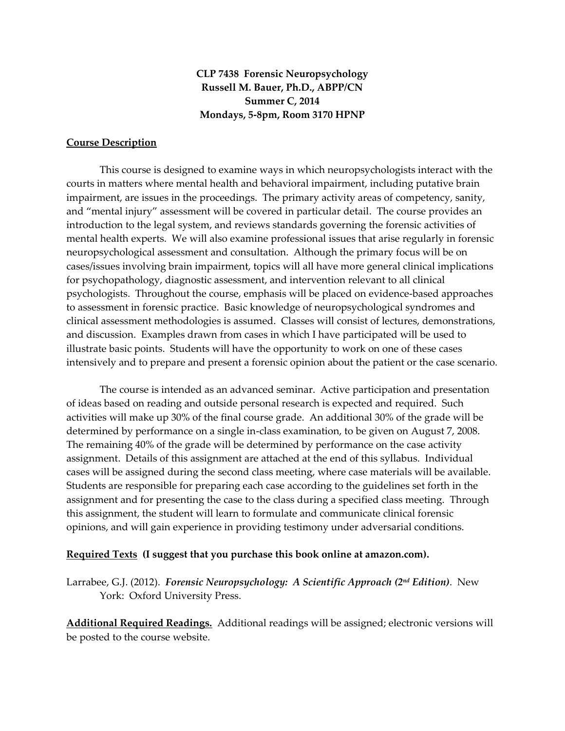**CLP 7438 Forensic Neuropsychology Russell M. Bauer, Ph.D., ABPP/CN Summer C, 2014 Mondays, 5-8pm, Room 3170 HPNP**

## **Course Description**

This course is designed to examine ways in which neuropsychologists interact with the courts in matters where mental health and behavioral impairment, including putative brain impairment, are issues in the proceedings. The primary activity areas of competency, sanity, and "mental injury" assessment will be covered in particular detail. The course provides an introduction to the legal system, and reviews standards governing the forensic activities of mental health experts. We will also examine professional issues that arise regularly in forensic neuropsychological assessment and consultation. Although the primary focus will be on cases/issues involving brain impairment, topics will all have more general clinical implications for psychopathology, diagnostic assessment, and intervention relevant to all clinical psychologists. Throughout the course, emphasis will be placed on evidence-based approaches to assessment in forensic practice. Basic knowledge of neuropsychological syndromes and clinical assessment methodologies is assumed. Classes will consist of lectures, demonstrations, and discussion. Examples drawn from cases in which I have participated will be used to illustrate basic points. Students will have the opportunity to work on one of these cases intensively and to prepare and present a forensic opinion about the patient or the case scenario.

The course is intended as an advanced seminar. Active participation and presentation of ideas based on reading and outside personal research is expected and required. Such activities will make up 30% of the final course grade. An additional 30% of the grade will be determined by performance on a single in-class examination, to be given on August 7, 2008. The remaining 40% of the grade will be determined by performance on the case activity assignment. Details of this assignment are attached at the end of this syllabus. Individual cases will be assigned during the second class meeting, where case materials will be available. Students are responsible for preparing each case according to the guidelines set forth in the assignment and for presenting the case to the class during a specified class meeting. Through this assignment, the student will learn to formulate and communicate clinical forensic opinions, and will gain experience in providing testimony under adversarial conditions.

#### **Required Texts (I suggest that you purchase this book online at amazon.com).**

Larrabee, G.J. (2012). *Forensic Neuropsychology: A Scientific Approach (2nd Edition)*. New York: Oxford University Press.

**Additional Required Readings.** Additional readings will be assigned; electronic versions will be posted to the course website.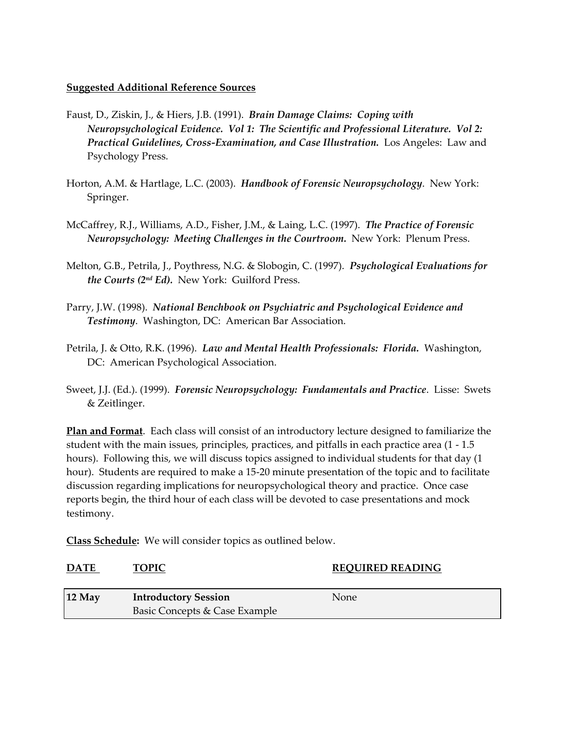# **Suggested Additional Reference Sources**

- Faust, D., Ziskin, J., & Hiers, J.B. (1991). *Brain Damage Claims: Coping with Neuropsychological Evidence. Vol 1: The Scientific and Professional Literature. Vol 2: Practical Guidelines, Cross-Examination, and Case Illustration.* Los Angeles: Law and Psychology Press.
- Horton, A.M. & Hartlage, L.C. (2003). *Handbook of Forensic Neuropsychology*. New York: Springer.
- McCaffrey, R.J., Williams, A.D., Fisher, J.M., & Laing, L.C. (1997). *The Practice of Forensic Neuropsychology: Meeting Challenges in the Courtroom.* New York: Plenum Press.
- Melton, G.B., Petrila, J., Poythress, N.G. & Slobogin, C. (1997). *Psychological Evaluations for the Courts (2nd Ed).* New York: Guilford Press.
- Parry, J.W. (1998). *National Benchbook on Psychiatric and Psychological Evidence and Testimony*. Washington, DC: American Bar Association.
- Petrila, J. & Otto, R.K. (1996). *Law and Mental Health Professionals: Florida.* Washington, DC: American Psychological Association.
- Sweet, J.J. (Ed.). (1999). *Forensic Neuropsychology: Fundamentals and Practice*. Lisse: Swets & Zeitlinger.

**Plan and Format**. Each class will consist of an introductory lecture designed to familiarize the student with the main issues, principles, practices, and pitfalls in each practice area (1 - 1.5 hours). Following this, we will discuss topics assigned to individual students for that day (1 hour). Students are required to make a 15-20 minute presentation of the topic and to facilitate discussion regarding implications for neuropsychological theory and practice. Once case reports begin, the third hour of each class will be devoted to case presentations and mock testimony.

**Class Schedule:** We will consider topics as outlined below.

| <b>DATE</b> | <b>TOPIC</b>                  | <b>REQUIRED READING</b> |
|-------------|-------------------------------|-------------------------|
| $12$ May    | <b>Introductory Session</b>   | None                    |
|             | Basic Concepts & Case Example |                         |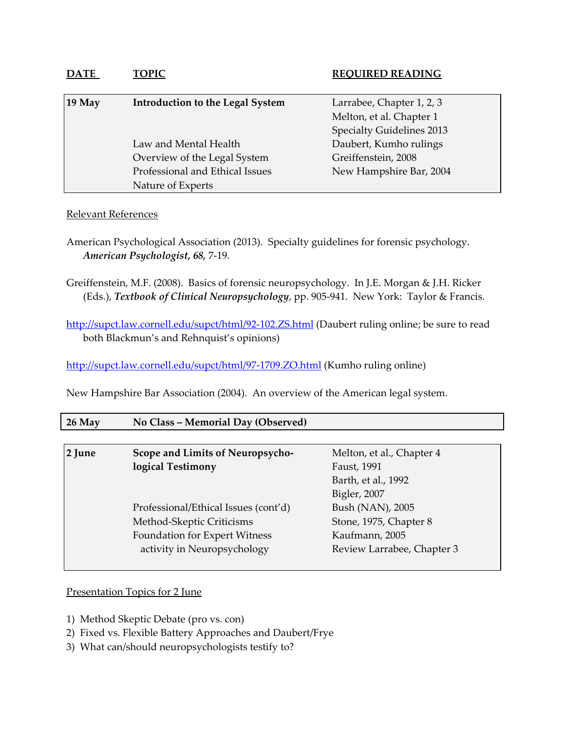| $19$ May | <b>Introduction to the Legal System</b> | Larrabee, Chapter 1, 2, 3        |
|----------|-----------------------------------------|----------------------------------|
|          |                                         | Melton, et al. Chapter 1         |
|          |                                         | <b>Specialty Guidelines 2013</b> |
|          | Law and Mental Health                   | Daubert, Kumho rulings           |
|          | Overview of the Legal System            | Greiffenstein, 2008              |
|          | Professional and Ethical Issues         | New Hampshire Bar, 2004          |
|          | Nature of Experts                       |                                  |

# Relevant References

- American Psychological Association (2013). Specialty guidelines for forensic psychology. *American Psychologist, 68,* 7-19.
- Greiffenstein, M.F. (2008). Basics of forensic neuropsychology. In J.E. Morgan & J.H. Ricker (Eds.), *Textbook of Clinical Neuropsychology*, pp. 905-941. New York: Taylor & Francis.

<http://supct.law.cornell.edu/supct/html/92-102.ZS.html> (Daubert ruling online; be sure to read both Blackmun's and Rehnquist's opinions)

<http://supct.law.cornell.edu/supct/html/97-1709.ZO.html> (Kumho ruling online)

New Hampshire Bar Association (2004). An overview of the American legal system.

| $26$ May | No Class – Memorial Day (Observed) |  |
|----------|------------------------------------|--|
|          |                                    |  |

| 2 June | Scope and Limits of Neuropsycho-     | Melton, et al., Chapter 4  |
|--------|--------------------------------------|----------------------------|
|        | logical Testimony                    | Faust, 1991                |
|        |                                      | Barth, et al., 1992        |
|        |                                      | Bigler, 2007               |
|        | Professional/Ethical Issues (cont'd) | Bush (NAN), 2005           |
|        | Method-Skeptic Criticisms            | Stone, 1975, Chapter 8     |
|        | Foundation for Expert Witness        | Kaufmann, 2005             |
|        | activity in Neuropsychology          | Review Larrabee, Chapter 3 |
|        |                                      |                            |

## Presentation Topics for 2 June

- 1) Method Skeptic Debate (pro vs. con)
- 2) Fixed vs. Flexible Battery Approaches and Daubert/Frye
- 3) What can/should neuropsychologists testify to?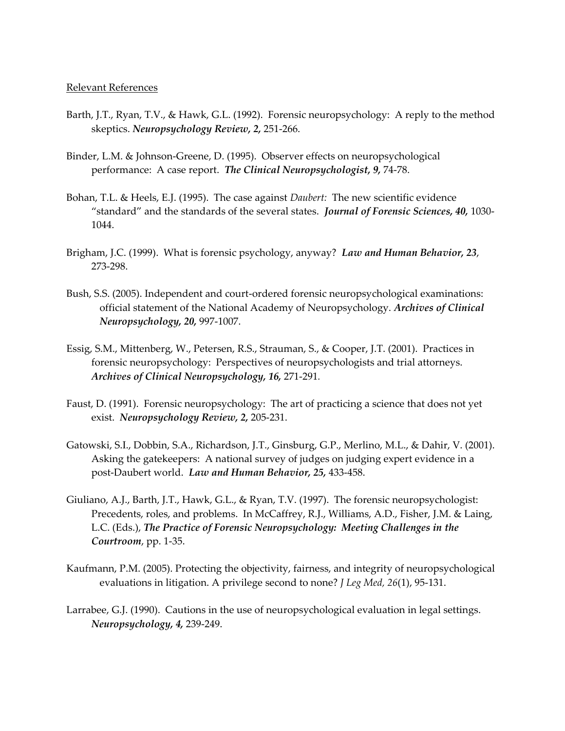- Barth, J.T., Ryan, T.V., & Hawk, G.L. (1992). Forensic neuropsychology: A reply to the method skeptics. *Neuropsychology Review, 2,* 251-266.
- Binder, L.M. & Johnson-Greene, D. (1995). Observer effects on neuropsychological performance: A case report. *The Clinical Neuropsychologist, 9,* 74-78.
- Bohan, T.L. & Heels, E.J. (1995). The case against *Daubert:* The new scientific evidence "standard" and the standards of the several states. *Journal of Forensic Sciences, 40,* 1030- 1044.
- Brigham, J.C. (1999). What is forensic psychology, anyway? *Law and Human Behavior, 23*, 273-298.
- Bush, S.S. (2005). Independent and court-ordered forensic neuropsychological examinations: official statement of the National Academy of Neuropsychology. *Archives of Clinical Neuropsychology, 20,* 997-1007.
- Essig, S.M., Mittenberg, W., Petersen, R.S., Strauman, S., & Cooper, J.T. (2001). Practices in forensic neuropsychology: Perspectives of neuropsychologists and trial attorneys. *Archives of Clinical Neuropsychology, 16,* 271-291*.*
- Faust, D. (1991). Forensic neuropsychology: The art of practicing a science that does not yet exist. *Neuropsychology Review, 2,* 205-231.
- Gatowski, S.I., Dobbin, S.A., Richardson, J.T., Ginsburg, G.P., Merlino, M.L., & Dahir, V. (2001). Asking the gatekeepers: A national survey of judges on judging expert evidence in a post-Daubert world. *Law and Human Behavior, 25,* 433-458.
- Giuliano, A.J., Barth, J.T., Hawk, G.L., & Ryan, T.V. (1997). The forensic neuropsychologist: Precedents, roles, and problems. In McCaffrey, R.J., Williams, A.D., Fisher, J.M. & Laing, L.C. (Eds.), *The Practice of Forensic Neuropsychology: Meeting Challenges in the Courtroom*, pp. 1-35.
- Kaufmann, P.M. (2005). Protecting the objectivity, fairness, and integrity of neuropsychological evaluations in litigation. A privilege second to none? *J Leg Med, 26*(1), 95-131.
- Larrabee, G.J. (1990). Cautions in the use of neuropsychological evaluation in legal settings. *Neuropsychology, 4,* 239-249.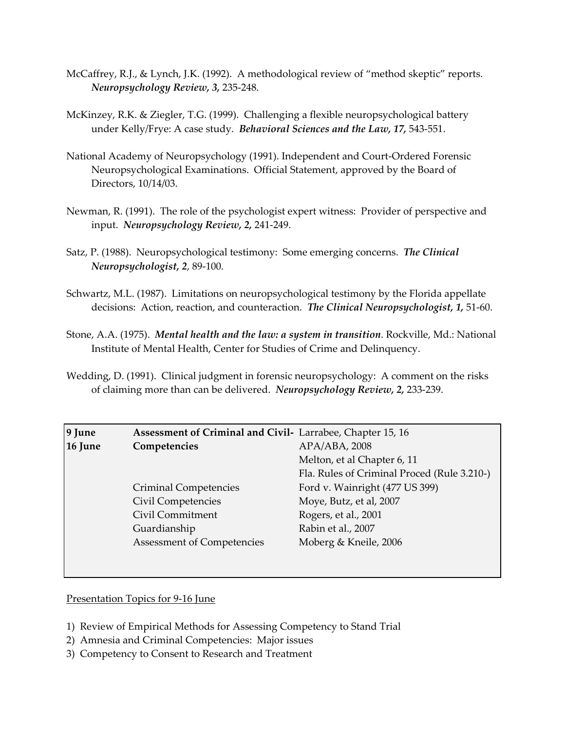- McCaffrey, R.J., & Lynch, J.K. (1992). A methodological review of "method skeptic" reports. *Neuropsychology Review, 3,* 235-248.
- McKinzey, R.K. & Ziegler, T.G. (1999). Challenging a flexible neuropsychological battery under Kelly/Frye: A case study. *Behavioral Sciences and the Law, 17,* 543-551.
- National Academy of Neuropsychology (1991). Independent and Court-Ordered Forensic Neuropsychological Examinations. Official Statement, approved by the Board of Directors, 10/14/03.
- Newman, R. (1991). The role of the psychologist expert witness: Provider of perspective and input. *Neuropsychology Review, 2,* 241-249.
- Satz, P. (1988). Neuropsychological testimony: Some emerging concerns. *The Clinical Neuropsychologist, 2*, 89-100.
- Schwartz, M.L. (1987). Limitations on neuropsychological testimony by the Florida appellate decisions: Action, reaction, and counteraction. *The Clinical Neuropsychologist, 1,* 51-60.
- Stone, A.A. (1975). *Mental health and the law: a system in transition*. Rockville, Md.: National Institute of Mental Health, Center for Studies of Crime and Delinquency.
- Wedding, D. (1991). Clinical judgment in forensic neuropsychology: A comment on the risks of claiming more than can be delivered. *Neuropsychology Review, 2,* 233-239.

| 9 June  | Assessment of Criminal and Civil- Larrabee, Chapter 15, 16 |                                             |
|---------|------------------------------------------------------------|---------------------------------------------|
| 16 June | Competencies                                               | $APA/ABA$ , 2008                            |
|         |                                                            | Melton, et al Chapter 6, 11                 |
|         |                                                            | Fla. Rules of Criminal Proced (Rule 3.210-) |
|         | <b>Criminal Competencies</b>                               | Ford v. Wainright (477 US 399)              |
|         | Civil Competencies                                         | Moye, Butz, et al, 2007                     |
|         | Civil Commitment                                           | Rogers, et al., 2001                        |
|         | Guardianship                                               | Rabin et al., 2007                          |
|         | Assessment of Competencies                                 | Moberg & Kneile, 2006                       |
|         |                                                            |                                             |

Presentation Topics for 9-16 June

- 1) Review of Empirical Methods for Assessing Competency to Stand Trial
- 2) Amnesia and Criminal Competencies: Major issues
- 3) Competency to Consent to Research and Treatment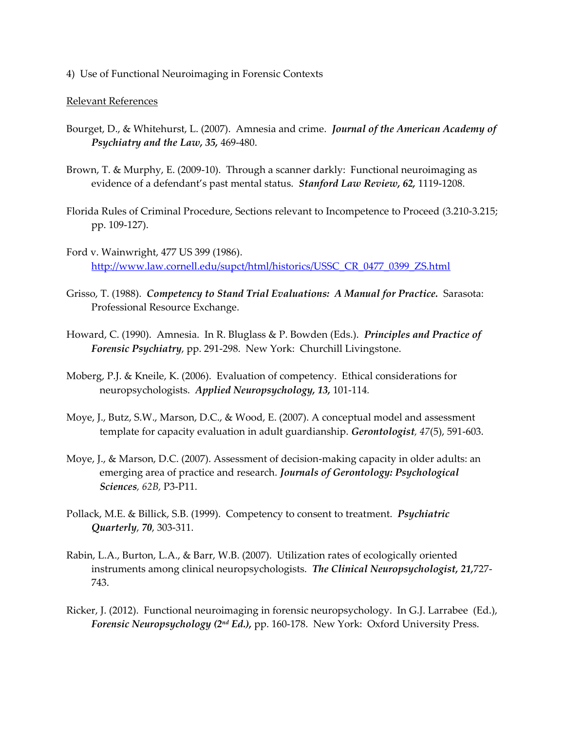4) Use of Functional Neuroimaging in Forensic Contexts

- Bourget, D., & Whitehurst, L. (2007). Amnesia and crime. *Journal of the American Academy of Psychiatry and the Law, 35,* 469-480.
- Brown, T. & Murphy, E. (2009-10). Through a scanner darkly: Functional neuroimaging as evidence of a defendant's past mental status. *Stanford Law Review, 62,* 1119-1208.
- Florida Rules of Criminal Procedure, Sections relevant to Incompetence to Proceed (3.210-3.215; pp. 109-127).
- Ford v. Wainwright, 477 US 399 (1986). [http://www.law.cornell.edu/supct/html/historics/USSC\\_CR\\_0477\\_0399\\_ZS.html](http://www.law.cornell.edu/supct/html/historics/USSC_CR_0477_0399_ZS.html)
- Grisso, T. (1988). *Competency to Stand Trial Evaluations: A Manual for Practice.* Sarasota: Professional Resource Exchange.
- Howard, C. (1990). Amnesia. In R. Bluglass & P. Bowden (Eds.). *Principles and Practice of Forensic Psychiatry*, pp. 291-298. New York: Churchill Livingstone.
- Moberg, P.J. & Kneile, K. (2006). Evaluation of competency. Ethical considerations for neuropsychologists. *Applied Neuropsychology, 13,* 101-114*.*
- Moye, J., Butz, S.W., Marson, D.C., & Wood, E. (2007). A conceptual model and assessment template for capacity evaluation in adult guardianship. *Gerontologist, 47*(5), 591-603.
- Moye, J., & Marson, D.C. (2007). Assessment of decision-making capacity in older adults: an emerging area of practice and research. *Journals of Gerontology: Psychological Sciences, 62B,* P3-P11.
- Pollack, M.E. & Billick, S.B. (1999). Competency to consent to treatment. *Psychiatric Quarterly*, *70*, 303-311.
- Rabin, L.A., Burton, L.A., & Barr, W.B. (2007). Utilization rates of ecologically oriented instruments among clinical neuropsychologists. *The Clinical Neuropsychologist, 21,*727- 743.
- Ricker, J. (2012). Functional neuroimaging in forensic neuropsychology. In G.J. Larrabee (Ed.), *Forensic Neuropsychology (2nd Ed.),* pp. 160-178. New York: Oxford University Press.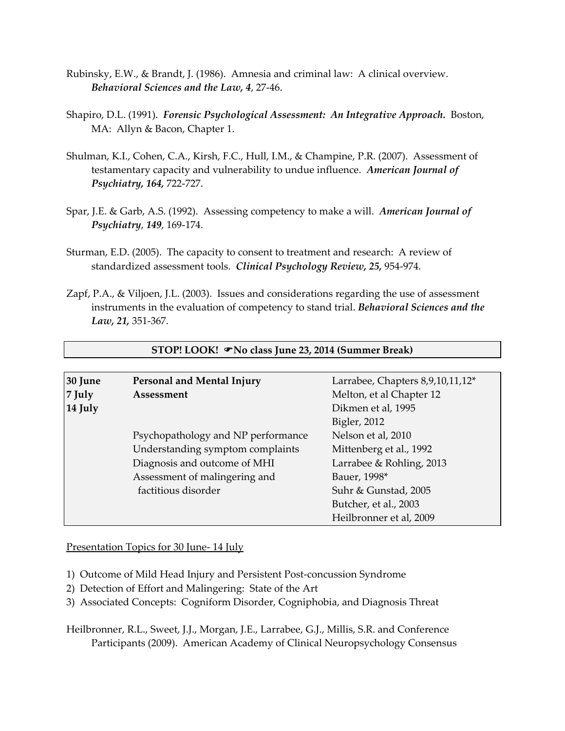- Rubinsky, E.W., & Brandt, J. (1986). Amnesia and criminal law: A clinical overview. *Behavioral Sciences and the Law, 4*, 27-46.
- Shapiro, D.L. (1991). *Forensic Psychological Assessment: An Integrative Approach.* Boston, MA: Allyn & Bacon, Chapter 1.
- Shulman, K.I., Cohen, C.A., Kirsh, F.C., Hull, I.M., & Champine, P.R. (2007). Assessment of testamentary capacity and vulnerability to undue influence. *American Journal of Psychiatry, 164,* 722-727.
- Spar, J.E. & Garb, A.S. (1992). Assessing competency to make a will. *American Journal of Psychiatry*, *149*, 169-174.
- Sturman, E.D. (2005). The capacity to consent to treatment and research: A review of standardized assessment tools. *Clinical Psychology Review, 25,* 954-974.
- Zapf, P.A., & Viljoen, J.L. (2003). Issues and considerations regarding the use of assessment instruments in the evaluation of competency to stand trial. *Behavioral Sciences and the Law, 21,* 351-367.

| 30 June   | Personal and Mental Injury         | Larrabee, Chapters 8,9,10,11,12* |
|-----------|------------------------------------|----------------------------------|
| $ 7$ July | Assessment                         | Melton, et al Chapter 12         |
| 14 July   |                                    | Dikmen et al, 1995               |
|           |                                    | Bigler, 2012                     |
|           | Psychopathology and NP performance | Nelson et al, 2010               |
|           | Understanding symptom complaints   | Mittenberg et al., 1992          |
|           | Diagnosis and outcome of MHI       | Larrabee & Rohling, 2013         |
|           | Assessment of malingering and      | Bauer, 1998*                     |
|           | factitious disorder                | Suhr & Gunstad, 2005             |
|           |                                    | Butcher, et al., 2003            |
|           |                                    | Heilbronner et al, 2009          |

**STOP! LOOK! No class June 23, 2014 (Summer Break)**

Presentation Topics for 30 June- 14 July

- 1) Outcome of Mild Head Injury and Persistent Post-concussion Syndrome
- 2) Detection of Effort and Malingering: State of the Art
- 3) Associated Concepts: Cogniform Disorder, Cogniphobia, and Diagnosis Threat

Heilbronner, R.L., Sweet, J.J., Morgan, J.E., Larrabee, G.J., Millis, S.R. and Conference Participants (2009). American Academy of Clinical Neuropsychology Consensus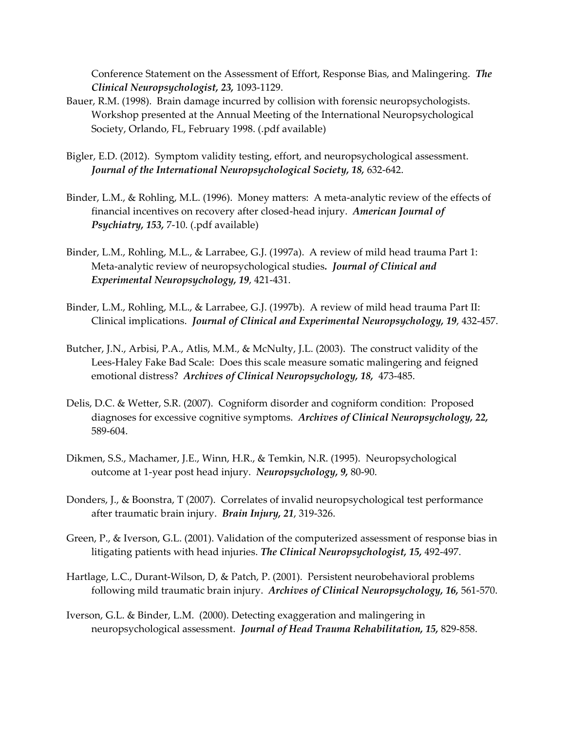Conference Statement on the Assessment of Effort, Response Bias, and Malingering. *The Clinical Neuropsychologist, 23,* 1093-1129.

- Bauer, R.M. (1998). Brain damage incurred by collision with forensic neuropsychologists. Workshop presented at the Annual Meeting of the International Neuropsychological Society, Orlando, FL, February 1998. (.pdf available)
- Bigler, E.D. (2012). Symptom validity testing, effort, and neuropsychological assessment. *Journal of the International Neuropsychological Society, 18,* 632-642.
- Binder, L.M., & Rohling, M.L. (1996). Money matters: A meta-analytic review of the effects of financial incentives on recovery after closed-head injury. *American Journal of Psychiatry, 153,* 7-10. (.pdf available)
- Binder, L.M., Rohling, M.L., & Larrabee, G.J. (1997a). A review of mild head trauma Part 1: Meta-analytic review of neuropsychological studies*. Journal of Clinical and Experimental Neuropsychology, 19*, 421-431.
- Binder, L.M., Rohling, M.L., & Larrabee, G.J. (1997b). A review of mild head trauma Part II: Clinical implications. *Journal of Clinical and Experimental Neuropsychology, 19*, 432-457.
- Butcher, J.N., Arbisi, P.A., Atlis, M.M., & McNulty, J.L. (2003). The construct validity of the Lees-Haley Fake Bad Scale: Does this scale measure somatic malingering and feigned emotional distress? *Archives of Clinical Neuropsychology, 18,* 473-485.
- Delis, D.C. & Wetter, S.R. (2007). Cogniform disorder and cogniform condition: Proposed diagnoses for excessive cognitive symptoms. *Archives of Clinical Neuropsychology, 22,*  589-604.
- Dikmen, S.S., Machamer, J.E., Winn, H.R., & Temkin, N.R. (1995). Neuropsychological outcome at 1-year post head injury. *Neuropsychology, 9,* 80-90.
- Donders, J., & Boonstra, T (2007). Correlates of invalid neuropsychological test performance after traumatic brain injury. *Brain Injury, 21*, 319-326.
- Green, P., & Iverson, G.L. (2001). Validation of the computerized assessment of response bias in litigating patients with head injuries. *The Clinical Neuropsychologist, 15,* 492-497.
- Hartlage, L.C., Durant-Wilson, D, & Patch, P. (2001). Persistent neurobehavioral problems following mild traumatic brain injury. *Archives of Clinical Neuropsychology, 16,* 561-570.
- Iverson, G.L. & Binder, L.M. (2000). Detecting exaggeration and malingering in neuropsychological assessment. *Journal of Head Trauma Rehabilitation, 15,* 829-858.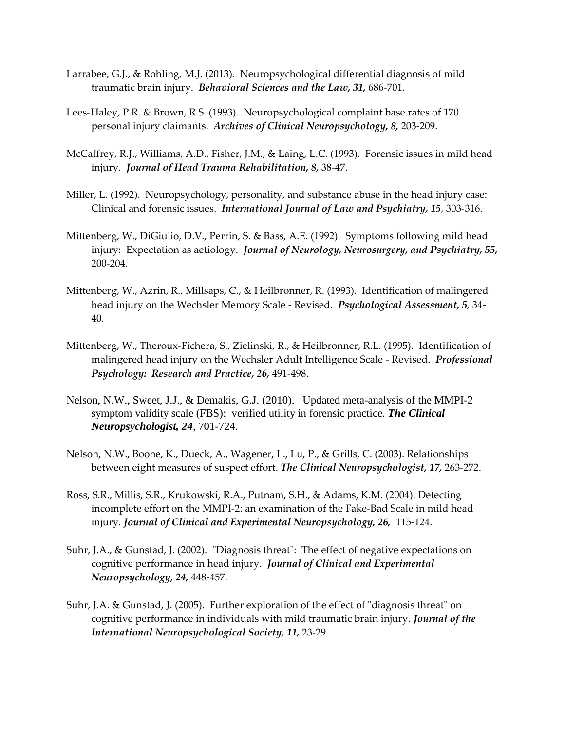- Larrabee, G.J., & Rohling, M.J. (2013). Neuropsychological differential diagnosis of mild traumatic brain injury. *Behavioral Sciences and the Law, 31,* 686-701.
- Lees-Haley, P.R. & Brown, R.S. (1993). Neuropsychological complaint base rates of 170 personal injury claimants. *Archives of Clinical Neuropsychology, 8,* 203-209.
- McCaffrey, R.J., Williams, A.D., Fisher, J.M., & Laing, L.C. (1993). Forensic issues in mild head injury. *Journal of Head Trauma Rehabilitation, 8,* 38-47.
- Miller, L. (1992). Neuropsychology, personality, and substance abuse in the head injury case: Clinical and forensic issues. *International Journal of Law and Psychiatry, 15*, 303-316.
- Mittenberg, W., DiGiulio, D.V., Perrin, S. & Bass, A.E. (1992). Symptoms following mild head injury: Expectation as aetiology. *Journal of Neurology, Neurosurgery, and Psychiatry, 55,* 200-204.
- Mittenberg, W., Azrin, R., Millsaps, C., & Heilbronner, R. (1993). Identification of malingered head injury on the Wechsler Memory Scale - Revised. *Psychological Assessment, 5,* 34- 40.
- Mittenberg, W., Theroux-Fichera, S., Zielinski, R., & Heilbronner, R.L. (1995). Identification of malingered head injury on the Wechsler Adult Intelligence Scale - Revised. *Professional Psychology: Research and Practice, 26,* 491-498.
- Nelson, N.W., Sweet, J.J., & Demakis, G.J. (2010). Updated meta-analysis of the MMPI-2 symptom validity scale (FBS): verified utility in forensic practice. *The Clinical Neuropsychologist, 24*, 701-724*.*
- Nelson, N.W., Boone, K., Dueck, A., Wagener, L., Lu, P., & Grills, C. (2003). Relationships between eight measures of suspect effort. *The Clinical Neuropsychologist, 17,* 263-272.
- Ross, S.R., Millis, S.R., Krukowski, R.A., Putnam, S.H., & Adams, K.M. (2004). Detecting incomplete effort on the MMPI-2: an examination of the Fake-Bad Scale in mild head injury. *Journal of Clinical and Experimental Neuropsychology, 26,* 115-124.
- Suhr, J.A., & Gunstad, J. (2002). "Diagnosis threat": The effect of negative expectations on cognitive performance in head injury. *Journal of Clinical and Experimental Neuropsychology, 24,* 448-457.
- Suhr, J.A. & Gunstad, J. (2005). Further exploration of the effect of "diagnosis threat" on cognitive performance in individuals with mild traumatic brain injury. *Journal of the International Neuropsychological Society, 11,* 23-29.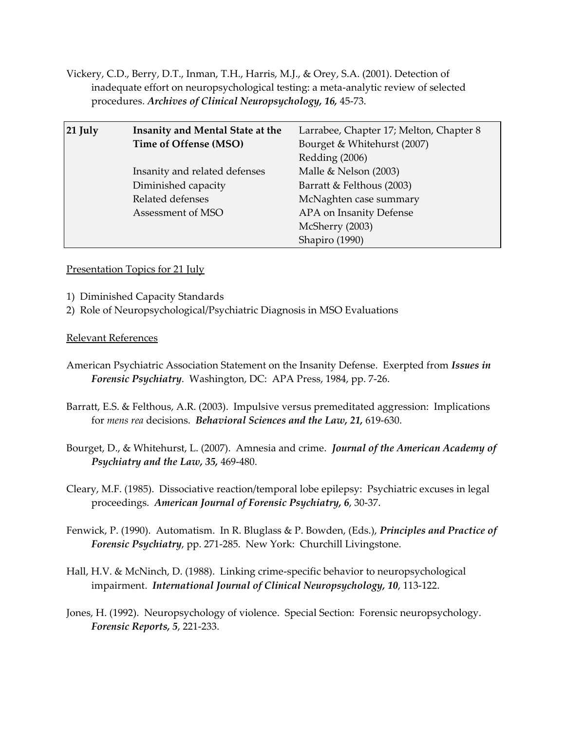Vickery, C.D., Berry, D.T., Inman, T.H., Harris, M.J., & Orey, S.A. (2001). Detection of inadequate effort on neuropsychological testing: a meta-analytic review of selected procedures. *Archives of Clinical Neuropsychology, 16,* 45-73.

| $21$ July | Insanity and Mental State at the | Larrabee, Chapter 17; Melton, Chapter 8 |
|-----------|----------------------------------|-----------------------------------------|
|           | Time of Offense (MSO)            | Bourget & Whitehurst (2007)             |
|           |                                  | Redding (2006)                          |
|           | Insanity and related defenses    | Malle & Nelson (2003)                   |
|           | Diminished capacity              | Barratt & Felthous (2003)               |
|           | Related defenses                 | McNaghten case summary                  |
|           | Assessment of MSO                | APA on Insanity Defense                 |
|           |                                  | McSherry (2003)                         |
|           |                                  | Shapiro (1990)                          |

Presentation Topics for 21 July

- 1) Diminished Capacity Standards
- 2) Role of Neuropsychological/Psychiatric Diagnosis in MSO Evaluations

- American Psychiatric Association Statement on the Insanity Defense. Exerpted from *Issues in Forensic Psychiatry*. Washington, DC: APA Press, 1984, pp. 7-26.
- Barratt, E.S. & Felthous, A.R. (2003). Impulsive versus premeditated aggression: Implications for *mens rea* decisions. *Behavioral Sciences and the Law, 21,* 619-630.
- Bourget, D., & Whitehurst, L. (2007). Amnesia and crime. *Journal of the American Academy of Psychiatry and the Law, 35,* 469-480.
- Cleary, M.F. (1985). Dissociative reaction/temporal lobe epilepsy: Psychiatric excuses in legal proceedings. *American Journal of Forensic Psychiatry, 6*, 30-37.
- Fenwick, P. (1990). Automatism. In R. Bluglass & P. Bowden, (Eds.), *Principles and Practice of Forensic Psychiatry*, pp. 271-285. New York: Churchill Livingstone.
- Hall, H.V. & McNinch, D. (1988). Linking crime-specific behavior to neuropsychological impairment. *International Journal of Clinical Neuropsychology, 10*, 113-122.
- Jones, H. (1992). Neuropsychology of violence. Special Section: Forensic neuropsychology. *Forensic Reports, 5*, 221-233.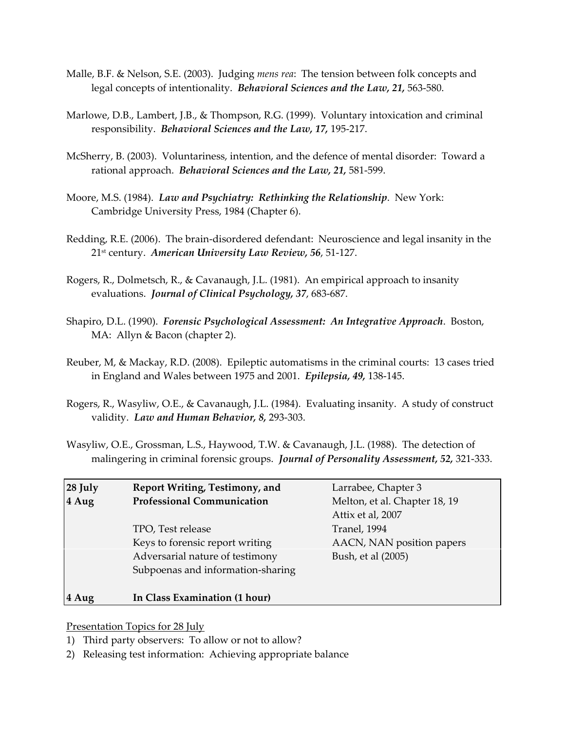- Malle, B.F. & Nelson, S.E. (2003). Judging *mens rea*: The tension between folk concepts and legal concepts of intentionality. *Behavioral Sciences and the Law, 21,* 563-580.
- Marlowe, D.B., Lambert, J.B., & Thompson, R.G. (1999). Voluntary intoxication and criminal responsibility. *Behavioral Sciences and the Law, 17,* 195-217.
- McSherry, B. (2003). Voluntariness, intention, and the defence of mental disorder: Toward a rational approach. *Behavioral Sciences and the Law, 21,* 581-599.
- Moore, M.S. (1984). *Law and Psychiatry: Rethinking the Relationship*. New York: Cambridge University Press, 1984 (Chapter 6).
- Redding, R.E. (2006). The brain-disordered defendant: Neuroscience and legal insanity in the 21st century. *American University Law Review, 56*, 51-127.
- Rogers, R., Dolmetsch, R., & Cavanaugh, J.L. (1981). An empirical approach to insanity evaluations. *Journal of Clinical Psychology, 37*, 683-687.
- Shapiro, D.L. (1990). *Forensic Psychological Assessment: An Integrative Approach*. Boston, MA: Allyn & Bacon (chapter 2).
- Reuber, M, & Mackay, R.D. (2008). Epileptic automatisms in the criminal courts: 13 cases tried in England and Wales between 1975 and 2001. *Epilepsia, 49,* 138-145.
- Rogers, R., Wasyliw, O.E., & Cavanaugh, J.L. (1984). Evaluating insanity. A study of construct validity. *Law and Human Behavior, 8,* 293-303.
- Wasyliw, O.E., Grossman, L.S., Haywood, T.W. & Cavanaugh, J.L. (1988). The detection of malingering in criminal forensic groups. *Journal of Personality Assessment, 52,* 321-333.

| 28 July<br>4 Aug | Report Writing, Testimony, and<br><b>Professional Communication</b>                                                          | Larrabee, Chapter 3<br>Melton, et al. Chapter 18, 19<br>Attix et al, 2007 |
|------------------|------------------------------------------------------------------------------------------------------------------------------|---------------------------------------------------------------------------|
|                  | TPO, Test release<br>Keys to forensic report writing<br>Adversarial nature of testimony<br>Subpoenas and information-sharing | Tranel, 1994<br>AACN, NAN position papers<br>Bush, et al (2005)           |
| 4 Aug            | In Class Examination (1 hour)                                                                                                |                                                                           |

Presentation Topics for 28 July

- 1) Third party observers: To allow or not to allow?
- 2) Releasing test information: Achieving appropriate balance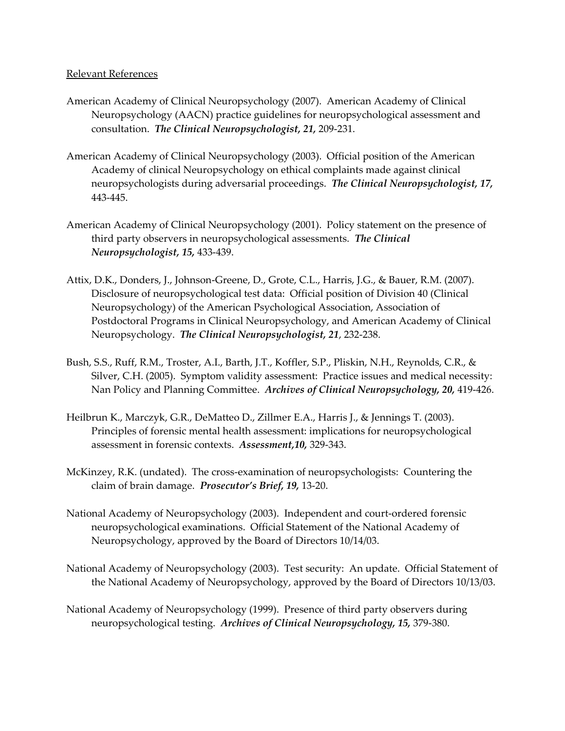- American Academy of Clinical Neuropsychology (2007). American Academy of Clinical Neuropsychology (AACN) practice guidelines for neuropsychological assessment and consultation. *The Clinical Neuropsychologist, 21,* 209-231.
- American Academy of Clinical Neuropsychology (2003). Official position of the American Academy of clinical Neuropsychology on ethical complaints made against clinical neuropsychologists during adversarial proceedings. *The Clinical Neuropsychologist, 17,*  443-445.
- American Academy of Clinical Neuropsychology (2001). Policy statement on the presence of third party observers in neuropsychological assessments. *The Clinical Neuropsychologist, 15,* 433-439.
- Attix, D.K., Donders, J., Johnson-Greene, D., Grote, C.L., Harris, J.G., & Bauer, R.M. (2007). Disclosure of neuropsychological test data: Official position of Division 40 (Clinical Neuropsychology) of the American Psychological Association, Association of Postdoctoral Programs in Clinical Neuropsychology, and American Academy of Clinical Neuropsychology. *The Clinical Neuropsychologist, 21*, 232-238.
- Bush, S.S., Ruff, R.M., Troster, A.I., Barth, J.T., Koffler, S.P., Pliskin, N.H., Reynolds, C.R., & Silver, C.H. (2005). Symptom validity assessment: Practice issues and medical necessity: Nan Policy and Planning Committee. *Archives of Clinical Neuropsychology, 20,* 419-426.
- Heilbrun K., Marczyk, G.R., DeMatteo D., Zillmer E.A., Harris J., & Jennings T. (2003). Principles of forensic mental health assessment: implications for neuropsychological assessment in forensic contexts.*Assessment,10,* 329-343.
- McKinzey, R.K. (undated). The cross-examination of neuropsychologists: Countering the claim of brain damage. *Prosecutor's Brief, 19,* 13-20.
- National Academy of Neuropsychology (2003). Independent and court-ordered forensic neuropsychological examinations. Official Statement of the National Academy of Neuropsychology, approved by the Board of Directors 10/14/03.
- National Academy of Neuropsychology (2003). Test security: An update. Official Statement of the National Academy of Neuropsychology, approved by the Board of Directors 10/13/03.
- National Academy of Neuropsychology (1999). Presence of third party observers during neuropsychological testing. *Archives of Clinical Neuropsychology, 15,* 379-380.